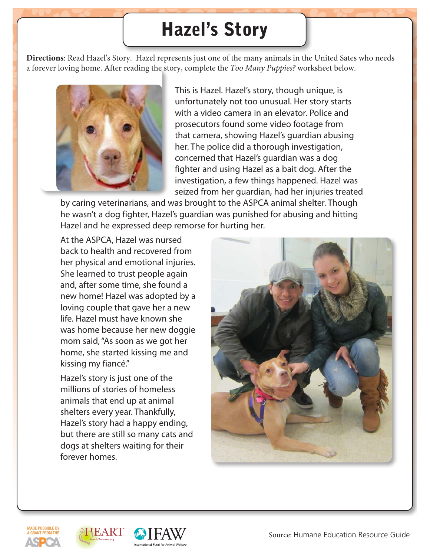### Hazel's Story

**Directions**: Read Hazel's Story. Hazel represents just one of the many animals in the United Sates who needs a forever loving home. After reading the story, complete the *Too Many Puppies?* worksheet below.



This is Hazel. Hazel's story, though unique, is unfortunately not too unusual. Her story starts with a video camera in an elevator. Police and prosecutors found some video footage from that camera, showing Hazel's guardian abusing her. The police did a thorough investigation, concerned that Hazel's guardian was a dog fighter and using Hazel as a bait dog. After the investigation, a few things happened. Hazel was seized from her guardian, had her injuries treated

by caring veterinarians, and was brought to the ASPCA animal shelter. Though he wasn't a dog fighter, Hazel's guardian was punished for abusing and hitting Hazel and he expressed deep remorse for hurting her.

At the ASPCA, Hazel was nursed back to health and recovered from her physical and emotional injuries. She learned to trust people again and, after some time, she found a new home! Hazel was adopted by a loving couple that gave her a new life. Hazel must have known she was home because her new doggie mom said, "As soon as we got her home, she started kissing me and kissing my fiancé."

Hazel's story is just one of the millions of stories of homeless animals that end up at animal shelters every year. Thankfully, Hazel's story had a happy ending, but there are still so many cats and dogs at shelters waiting for their forever homes.







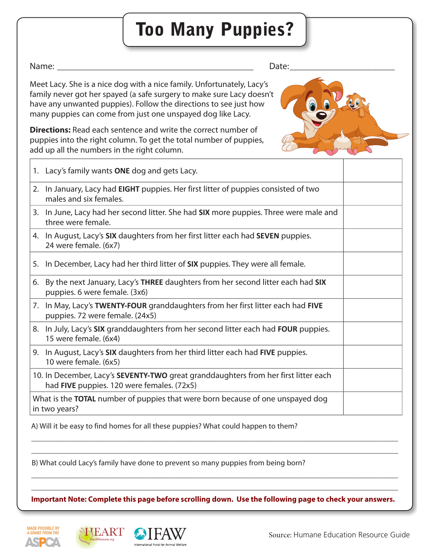# **Too Many Puppies?**

#### Name:

Date:

Meet Lacy. She is a nice dog with a nice family. Unfortunately, Lacy's family never got her spayed (a safe surgery to make sure Lacy doesn't have any unwanted puppies). Follow the directions to see just how many puppies can come from just one unspayed dog like Lacy.

**Directions:** Read each sentence and write the correct number of puppies into the right column. To get the total number of puppies, add up all the numbers in the right column.



| 1. Lacy's family wants ONE dog and gets Lacy.                                                                                     |  |
|-----------------------------------------------------------------------------------------------------------------------------------|--|
| 2. In January, Lacy had EIGHT puppies. Her first litter of puppies consisted of two<br>males and six females.                     |  |
| 3. In June, Lacy had her second litter. She had SIX more puppies. Three were male and<br>three were female.                       |  |
| 4. In August, Lacy's SIX daughters from her first litter each had SEVEN puppies.<br>24 were female. (6x7)                         |  |
| 5. In December, Lacy had her third litter of <b>SIX</b> puppies. They were all female.                                            |  |
| 6. By the next January, Lacy's THREE daughters from her second litter each had SIX<br>puppies. 6 were female. (3x6)               |  |
| 7. In May, Lacy's TWENTY-FOUR granddaughters from her first litter each had FIVE<br>puppies. 72 were female. (24x5)               |  |
| 8. In July, Lacy's SIX granddaughters from her second litter each had FOUR puppies.<br>15 were female. (6x4)                      |  |
| 9. In August, Lacy's SIX daughters from her third litter each had FIVE puppies.<br>10 were female. (6x5)                          |  |
| 10. In December, Lacy's SEVENTY-TWO great granddaughters from her first litter each<br>had FIVE puppies. 120 were females. (72x5) |  |
| What is the <b>TOTAL</b> number of puppies that were born because of one unspayed dog<br>in two years?                            |  |

A) Will it be easy to find homes for all these puppies? What could happen to them?

B) What could Lacy's family have done to prevent so many puppies from being born?

Important Note: Complete this page before scrolling down. Use the following page to check your answers.